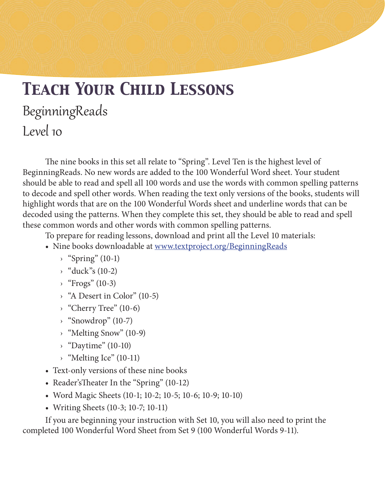# *Teach Your Child Lessons* BeginningReads Level 10

The nine books in this set all relate to "Spring". Level Ten is the highest level of BeginningReads. No new words are added to the 100 Wonderful Word sheet. Your student should be able to read and spell all 100 words and use the words with common spelling patterns to decode and spell other words. When reading the text only versions of the books, students will highlight words that are on the 100 Wonderful Words sheet and underline words that can be decoded using the patterns. When they complete this set, they should be able to read and spell these common words and other words with common spelling patterns.

To prepare for reading lessons, download and print all the Level 10 materials:

- Nine books downloadable at www.textproject.org/BeginningReads
	- $\rightarrow$  "Spring" (10-1)
	- $\rightarrow$  "duck"s (10-2)
	- $\rightarrow$  "Frogs" (10-3)
	- › "A Desert in Color" (10-5)
	- › "Cherry Tree" (10-6)
	- $\rightarrow$  "Snowdrop" (10-7)
	- › "Melting Snow" (10-9)
	- $\rightarrow$  "Daytime" (10-10)
	- › "Melting Ice" (10-11)
- Text-only versions of these nine books
- Reader's Theater In the "Spring" (10-12)
- • Word Magic Sheets (10-1; 10-2; 10-5; 10-6; 10-9; 10-10)
- Writing Sheets (10-3; 10-7; 10-11)

If you are beginning your instruction with Set 10, you will also need to print the completed 100 Wonderful Word Sheet from Set 9 (100 Wonderful Words 9-11).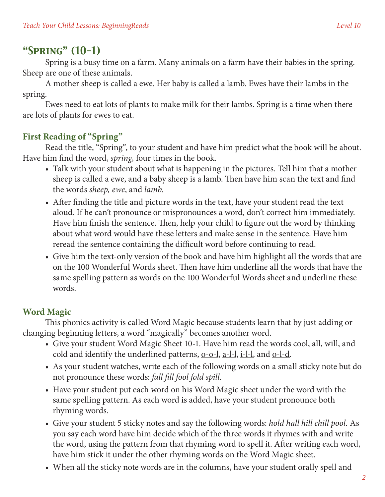# *"Spring" (10-1)*

Spring is a busy time on a farm. Many animals on a farm have their babies in the spring. Sheep are one of these animals.

A mother sheep is called a ewe. Her baby is called a lamb. Ewes have their lambs in the spring.

Ewes need to eat lots of plants to make milk for their lambs. Spring is a time when there are lots of plants for ewes to eat.

# **First Reading of "Spring"**

Read the title, "Spring", to your student and have him predict what the book will be about. Have him find the word, *spring,* four times in the book.

- Talk with your student about what is happening in the pictures. Tell him that a mother sheep is called a ewe, and a baby sheep is a lamb. Then have him scan the text and find the words *sheep, ewe*, and *lamb*.
- After finding the title and picture words in the text, have your student read the text aloud. If he can't pronounce or mispronounces a word, don't correct him immediately. Have him finish the sentence. Then, help your child to figure out the word by thinking about what word would have these letters and make sense in the sentence. Have him reread the sentence containing the difficult word before continuing to read.
- Give him the text-only version of the book and have him highlight all the words that are on the 100 Wonderful Words sheet. Then have him underline all the words that have the same spelling pattern as words on the 100 Wonderful Words sheet and underline these words.

# **Word Magic**

This phonics activity is called Word Magic because students learn that by just adding or changing beginning letters, a word "magically" becomes another word.

- • Give your student Word Magic Sheet 10-1. Have him read the words cool, all, will, and cold and identify the underlined patterns,  $Q_0$ - $Q_1$ ,  $Q_2$ - $Q_2$ , and  $Q_1$ - $Q_2$ .
- As your student watches, write each of the following words on a small sticky note but do not pronounce these words: *fall fill fool fold spill.*
- Have your student put each word on his Word Magic sheet under the word with the same spelling pattern. As each word is added, have your student pronounce both rhyming words.
- • Give your student 5 sticky notes and say the following words: *hold hall hill chill pool.* As you say each word have him decide which of the three words it rhymes with and write the word, using the pattern from that rhyming word to spell it. After writing each word, have him stick it under the other rhyming words on the Word Magic sheet.
- When all the sticky note words are in the columns, have your student orally spell and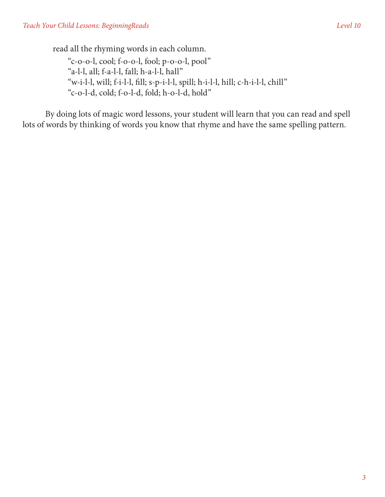read all the rhyming words in each column.

"c-o-o-l, cool; f-o-o-l, fool; p-o-o-l, pool" "a-l-l, all; f-a-l-l, fall; h-a-l-l, hall" "w-i-l-l, will; f-i-l-l, fill; s-p-i-l-l, spill; h-i-l-l, hill; c-h-i-l-l, chill" "c-o-l-d, cold; f-o-l-d, fold; h-o-l-d, hold"

By doing lots of magic word lessons, your student will learn that you can read and spell lots of words by thinking of words you know that rhyme and have the same spelling pattern.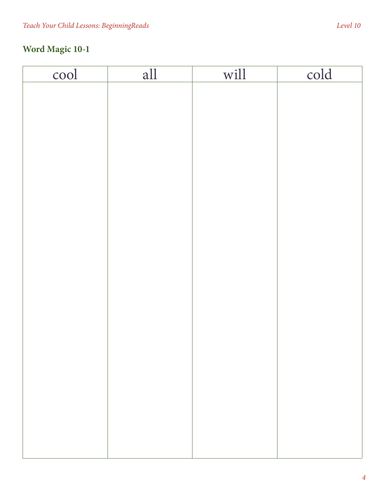| cool | all | will | cold |
|------|-----|------|------|
|      |     |      |      |
|      |     |      |      |
|      |     |      |      |
|      |     |      |      |
|      |     |      |      |
|      |     |      |      |
|      |     |      |      |
|      |     |      |      |
|      |     |      |      |
|      |     |      |      |
|      |     |      |      |
|      |     |      |      |
|      |     |      |      |
|      |     |      |      |
|      |     |      |      |
|      |     |      |      |
|      |     |      |      |
|      |     |      |      |
|      |     |      |      |
|      |     |      |      |
|      |     |      |      |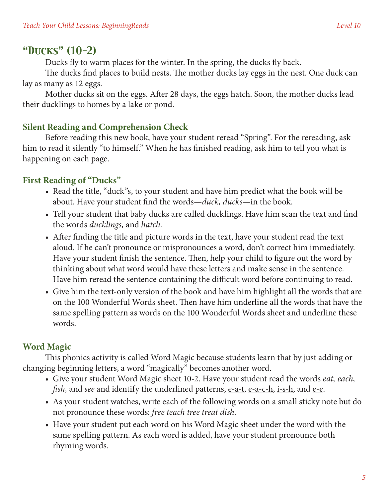## *"Ducks" (10-2)*

Ducks fly to warm places for the winter. In the spring, the ducks fly back.

The ducks find places to build nests. The mother ducks lay eggs in the nest. One duck can lay as many as 12 eggs.

Mother ducks sit on the eggs. After 28 days, the eggs hatch. Soon, the mother ducks lead their ducklings to homes by a lake or pond.

### **Silent Reading and Comprehension Check**

Before reading this new book, have your student reread "Spring". For the rereading, ask him to read it silently "to himself." When he has finished reading, ask him to tell you what is happening on each page.

### **First Reading of "Ducks"**

- Read the title, "duck"s, to your student and have him predict what the book will be about. Have your student find the words—*duck, ducks*—in the book.
- Tell your student that baby ducks are called ducklings. Have him scan the text and find the words *ducklings,* and *hatch.*
- After finding the title and picture words in the text, have your student read the text aloud. If he can't pronounce or mispronounces a word, don't correct him immediately. Have your student finish the sentence. Then, help your child to figure out the word by thinking about what word would have these letters and make sense in the sentence. Have him reread the sentence containing the difficult word before continuing to read.
- Give him the text-only version of the book and have him highlight all the words that are on the 100 Wonderful Words sheet. Then have him underline all the words that have the same spelling pattern as words on the 100 Wonderful Words sheet and underline these words.

#### **Word Magic**

This phonics activity is called Word Magic because students learn that by just adding or changing beginning letters, a word "magically" becomes another word.

- Give your student Word Magic sheet 10-2. Have your student read the words *eat, each, fish*, and *see* and identify the underlined patterns, <u>e-a-t, e-a-c-h, i-s-h</u>, and e-e.
- As your student watches, write each of the following words on a small sticky note but do not pronounce these words: *free teach tree treat dish.*
- Have your student put each word on his Word Magic sheet under the word with the same spelling pattern. As each word is added, have your student pronounce both rhyming words.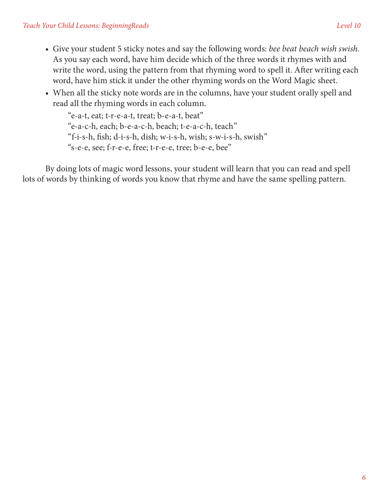- • Give your student 5 sticky notes and say the following words: *bee beat beach wish swish.* As you say each word, have him decide which of the three words it rhymes with and write the word, using the pattern from that rhyming word to spell it. After writing each word, have him stick it under the other rhyming words on the Word Magic sheet.
- When all the sticky note words are in the columns, have your student orally spell and read all the rhyming words in each column.

"e-a-t, eat; t-r-e-a-t, treat; b-e-a-t, beat" "e-a-c-h, each; b-e-a-c-h, beach; t-e-a-c-h, teach" "f-i-s-h, fish; d-i-s-h, dish; w-i-s-h, wish; s-w-i-s-h, swish" "s-e-e, see; f-r-e-e, free; t-r-e-e, tree; b-e-e, bee"

By doing lots of magic word lessons, your student will learn that you can read and spell lots of words by thinking of words you know that rhyme and have the same spelling pattern.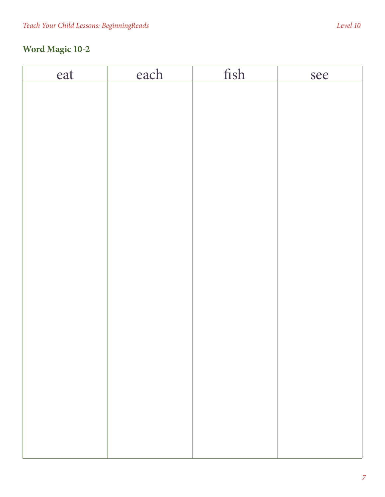| eat | each | fish | see |
|-----|------|------|-----|
|     |      |      |     |
|     |      |      |     |
|     |      |      |     |
|     |      |      |     |
|     |      |      |     |
|     |      |      |     |
|     |      |      |     |
|     |      |      |     |
|     |      |      |     |
|     |      |      |     |
|     |      |      |     |
|     |      |      |     |
|     |      |      |     |
|     |      |      |     |
|     |      |      |     |
|     |      |      |     |
|     |      |      |     |
|     |      |      |     |
|     |      |      |     |
|     |      |      |     |
|     |      |      |     |
|     |      |      |     |
|     |      |      |     |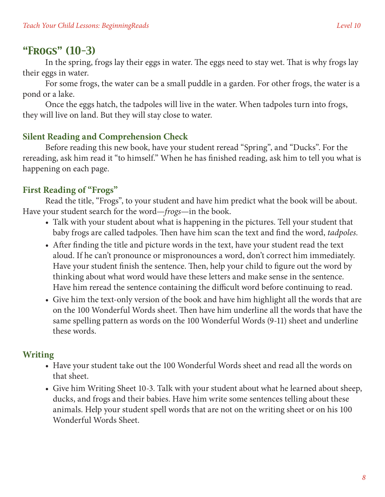# *"Frogs" (10-3)*

In the spring, frogs lay their eggs in water. The eggs need to stay wet. That is why frogs lay their eggs in water.

For some frogs, the water can be a small puddle in a garden. For other frogs, the water is a pond or a lake.

Once the eggs hatch, the tadpoles will live in the water. When tadpoles turn into frogs, they will live on land. But they will stay close to water.

### **Silent Reading and Comprehension Check**

Before reading this new book, have your student reread "Spring", and "Ducks". For the rereading, ask him read it "to himself." When he has finished reading, ask him to tell you what is happening on each page.

### **First Reading of "Frogs"**

Read the title, "Frogs", to your student and have him predict what the book will be about. Have your student search for the word—*frogs*—in the book.

- Talk with your student about what is happening in the pictures. Tell your student that baby frogs are called tadpoles. Then have him scan the text and find the word, *tadpoles.*
- After finding the title and picture words in the text, have your student read the text aloud. If he can't pronounce or mispronounces a word, don't correct him immediately. Have your student finish the sentence. Then, help your child to figure out the word by thinking about what word would have these letters and make sense in the sentence. Have him reread the sentence containing the difficult word before continuing to read.
- Give him the text-only version of the book and have him highlight all the words that are on the 100 Wonderful Words sheet. Then have him underline all the words that have the same spelling pattern as words on the 100 Wonderful Words (9-11) sheet and underline these words.

#### **Writing**

- Have your student take out the 100 Wonderful Words sheet and read all the words on that sheet.
- Give him Writing Sheet 10-3. Talk with your student about what he learned about sheep, ducks, and frogs and their babies. Have him write some sentences telling about these animals. Help your student spell words that are not on the writing sheet or on his 100 Wonderful Words Sheet.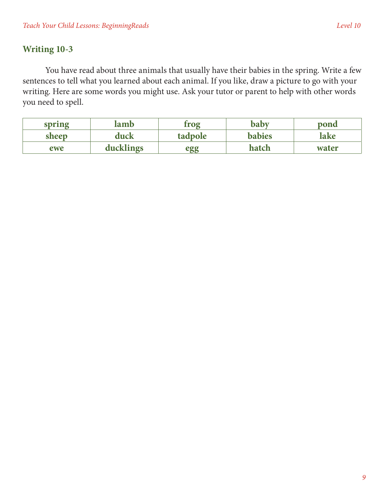### **Writing 10-3**

You have read about three animals that usually have their babies in the spring. Write a few sentences to tell what you learned about each animal. If you like, draw a picture to go with your writing. Here are some words you might use. Ask your tutor or parent to help with other words you need to spell.

| spring | lamb      | trog    | babv          | pond  |
|--------|-----------|---------|---------------|-------|
| sheep  | duck      | tadpole | <b>babies</b> | lake  |
| ewe    | ducklings | egg     | hatch         | water |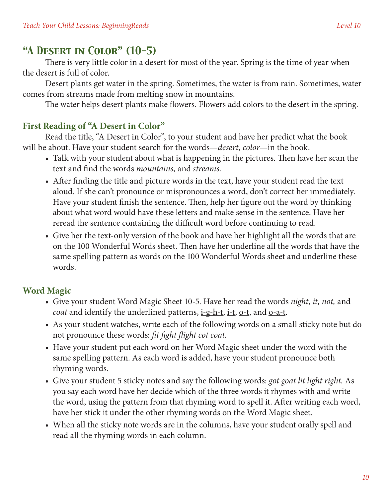# *"A Desert in Color" (10-5)*

There is very little color in a desert for most of the year. Spring is the time of year when the desert is full of color.

Desert plants get water in the spring. Sometimes, the water is from rain. Sometimes, water comes from streams made from melting snow in mountains.

The water helps desert plants make flowers. Flowers add colors to the desert in the spring.

#### **First Reading of "A Desert in Color"**

Read the title, "A Desert in Color", to your student and have her predict what the book will be about. Have your student search for the words—*desert, color*—in the book.

- Talk with your student about what is happening in the pictures. Then have her scan the text and find the words *mountains,* and *streams.*
- After finding the title and picture words in the text, have your student read the text aloud. If she can't pronounce or mispronounces a word, don't correct her immediately. Have your student finish the sentence. Then, help her figure out the word by thinking about what word would have these letters and make sense in the sentence. Have her reread the sentence containing the difficult word before continuing to read.
- Give her the text-only version of the book and have her highlight all the words that are on the 100 Wonderful Words sheet. Then have her underline all the words that have the same spelling pattern as words on the 100 Wonderful Words sheet and underline these words.

# **Word Magic**

- • Give your student Word Magic Sheet 10-5. Have her read the words *night, it, not,* and *coat* and identify the underlined patterns, i-g-h-t, i-t, o-t, and o-a-t.
- As your student watches, write each of the following words on a small sticky note but do not pronounce these words: *fit fight flight cot coat.*
- Have your student put each word on her Word Magic sheet under the word with the same spelling pattern. As each word is added, have your student pronounce both rhyming words.
- • Give your student 5 sticky notes and say the following words: *got goat lit light right.* As you say each word have her decide which of the three words it rhymes with and write the word, using the pattern from that rhyming word to spell it. After writing each word, have her stick it under the other rhyming words on the Word Magic sheet.
- When all the sticky note words are in the columns, have your student orally spell and read all the rhyming words in each column.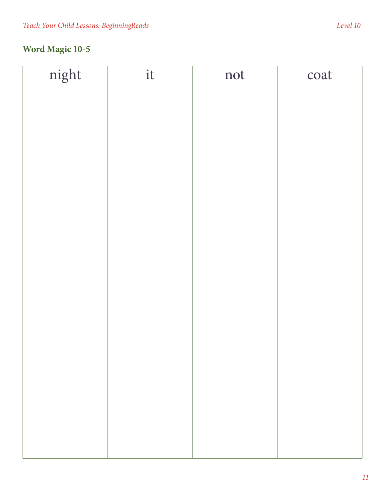| night | it | not | coat |
|-------|----|-----|------|
|       |    |     |      |
|       |    |     |      |
|       |    |     |      |
|       |    |     |      |
|       |    |     |      |
|       |    |     |      |
|       |    |     |      |
|       |    |     |      |
|       |    |     |      |
|       |    |     |      |
|       |    |     |      |
|       |    |     |      |
|       |    |     |      |
|       |    |     |      |
|       |    |     |      |
|       |    |     |      |
|       |    |     |      |
|       |    |     |      |
|       |    |     |      |
|       |    |     |      |
|       |    |     |      |
|       |    |     |      |
|       |    |     |      |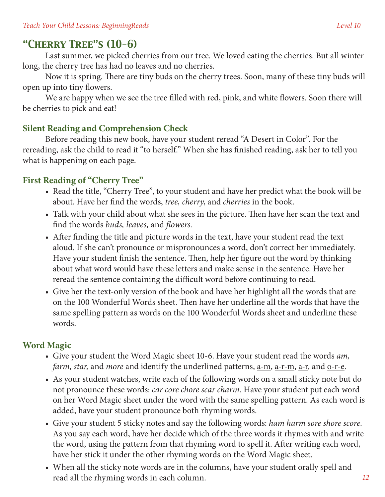# *"Cherry Tree"s (10-6)*

Last summer, we picked cherries from our tree. We loved eating the cherries. But all winter long, the cherry tree has had no leaves and no cherries.

Now it is spring. There are tiny buds on the cherry trees. Soon, many of these tiny buds will open up into tiny flowers.

We are happy when we see the tree filled with red, pink, and white flowers. Soon there will be cherries to pick and eat!

### **Silent Reading and Comprehension Check**

Before reading this new book, have your student reread "A Desert in Color". For the rereading, ask the child to read it "to herself." When she has finished reading, ask her to tell you what is happening on each page.

### **First Reading of "Cherry Tree"**

- Read the title, "Cherry Tree", to your student and have her predict what the book will be about. Have her find the words, *tree, cherry*, and *cherries* in the book.
- Talk with your child about what she sees in the picture. Then have her scan the text and find the words *buds, leaves,* and *flowers.*
- After finding the title and picture words in the text, have your student read the text aloud. If she can't pronounce or mispronounces a word, don't correct her immediately. Have your student finish the sentence. Then, help her figure out the word by thinking about what word would have these letters and make sense in the sentence. Have her reread the sentence containing the difficult word before continuing to read.
- Give her the text-only version of the book and have her highlight all the words that are on the 100 Wonderful Words sheet. Then have her underline all the words that have the same spelling pattern as words on the 100 Wonderful Words sheet and underline these words.

### **Word Magic**

- • Give your student the Word Magic sheet 10-6. Have your student read the words *am, farm, star, and more and identify the underlined patterns, <u>a-m, a-r-m, a-r</u>, and <u>o-r-e</u>.*
- As your student watches, write each of the following words on a small sticky note but do not pronounce these words: *car core chore scar charm.* Have your student put each word on her Word Magic sheet under the word with the same spelling pattern. As each word is added, have your student pronounce both rhyming words.
- • Give your student 5 sticky notes and say the following words: *ham harm sore shore score.* As you say each word, have her decide which of the three words it rhymes with and write the word, using the pattern from that rhyming word to spell it. After writing each word, have her stick it under the other rhyming words on the Word Magic sheet.
- When all the sticky note words are in the columns, have your student orally spell and read all the rhyming words in each column.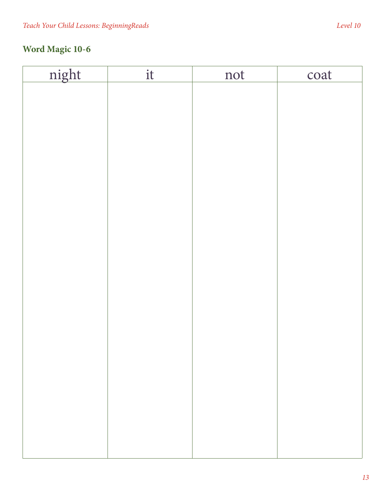| night | it | not | coat |
|-------|----|-----|------|
|       |    |     |      |
|       |    |     |      |
|       |    |     |      |
|       |    |     |      |
|       |    |     |      |
|       |    |     |      |
|       |    |     |      |
|       |    |     |      |
|       |    |     |      |
|       |    |     |      |
|       |    |     |      |
|       |    |     |      |
|       |    |     |      |
|       |    |     |      |
|       |    |     |      |
|       |    |     |      |
|       |    |     |      |
|       |    |     |      |
|       |    |     |      |
|       |    |     |      |
|       |    |     |      |
|       |    |     |      |
|       |    |     |      |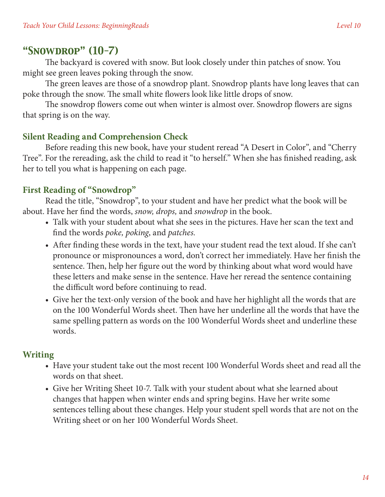### *"Snowdrop" (10-7)*

The backyard is covered with snow. But look closely under thin patches of snow. You might see green leaves poking through the snow.

The green leaves are those of a snowdrop plant. Snowdrop plants have long leaves that can poke through the snow. The small white flowers look like little drops of snow.

The snowdrop flowers come out when winter is almost over. Snowdrop flowers are signs that spring is on the way.

#### **Silent Reading and Comprehension Check**

Before reading this new book, have your student reread "A Desert in Color", and "Cherry Tree". For the rereading, ask the child to read it "to herself." When she has finished reading, ask her to tell you what is happening on each page.

#### **First Reading of "Snowdrop"**

Read the title, "Snowdrop", to your student and have her predict what the book will be about. Have her find the words, *snow, drops,* and *snowdrop* in the book.

- Talk with your student about what she sees in the pictures. Have her scan the text and find the words *poke, poking*, and *patches.*
- After finding these words in the text, have your student read the text aloud. If she can't pronounce or mispronounces a word, don't correct her immediately. Have her finish the sentence. Then, help her figure out the word by thinking about what word would have these letters and make sense in the sentence. Have her reread the sentence containing the difficult word before continuing to read.
- Give her the text-only version of the book and have her highlight all the words that are on the 100 Wonderful Words sheet. Then have her underline all the words that have the same spelling pattern as words on the 100 Wonderful Words sheet and underline these words.

#### **Writing**

- Have your student take out the most recent 100 Wonderful Words sheet and read all the words on that sheet.
- Give her Writing Sheet 10-7. Talk with your student about what she learned about changes that happen when winter ends and spring begins. Have her write some sentences telling about these changes. Help your student spell words that are not on the Writing sheet or on her 100 Wonderful Words Sheet.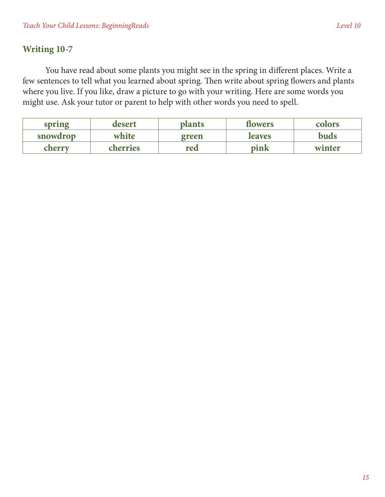### **Writing 10-7**

You have read about some plants you might see in the spring in different places. Write a few sentences to tell what you learned about spring. Then write about spring flowers and plants where you live. If you like, draw a picture to go with your writing. Here are some words you might use. Ask your tutor or parent to help with other words you need to spell.

| spring   | desert   | <b>plants</b> | <b>flowers</b> | colors |
|----------|----------|---------------|----------------|--------|
| snowdrop | white    | green         | <b>leaves</b>  | buds   |
| cherry   | cherries | red           | pink           | winter |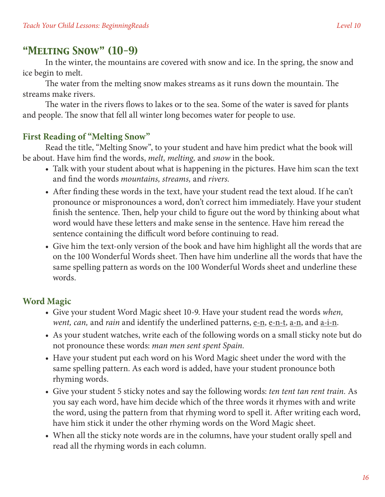# *"Melting Snow" (10-9)*

In the winter, the mountains are covered with snow and ice. In the spring, the snow and ice begin to melt.

The water from the melting snow makes streams as it runs down the mountain. The streams make rivers.

The water in the rivers flows to lakes or to the sea. Some of the water is saved for plants and people. The snow that fell all winter long becomes water for people to use.

#### **First Reading of "Melting Snow"**

Read the title, "Melting Snow", to your student and have him predict what the book will be about. Have him find the words, *melt, melting,* and *snow* in the book.

- Talk with your student about what is happening in the pictures. Have him scan the text and find the words *mountains, streams,* and *rivers.*
- After finding these words in the text, have your student read the text aloud. If he can't pronounce or mispronounces a word, don't correct him immediately. Have your student finish the sentence. Then, help your child to figure out the word by thinking about what word would have these letters and make sense in the sentence. Have him reread the sentence containing the difficult word before continuing to read.
- Give him the text-only version of the book and have him highlight all the words that are on the 100 Wonderful Words sheet. Then have him underline all the words that have the same spelling pattern as words on the 100 Wonderful Words sheet and underline these words.

### **Word Magic**

- • Give your student Word Magic sheet 10-9. Have your student read the words *when, went, can, and rain and identify the underlined patterns, e-n, e-n-t, a-n, and a-i-n.*
- As your student watches, write each of the following words on a small sticky note but do not pronounce these words: *man men sent spent Spain.*
- Have your student put each word on his Word Magic sheet under the word with the same spelling pattern. As each word is added, have your student pronounce both rhyming words.
- • Give your student 5 sticky notes and say the following words: *ten tent tan rent train.* As you say each word, have him decide which of the three words it rhymes with and write the word, using the pattern from that rhyming word to spell it. After writing each word, have him stick it under the other rhyming words on the Word Magic sheet.
- When all the sticky note words are in the columns, have your student orally spell and read all the rhyming words in each column.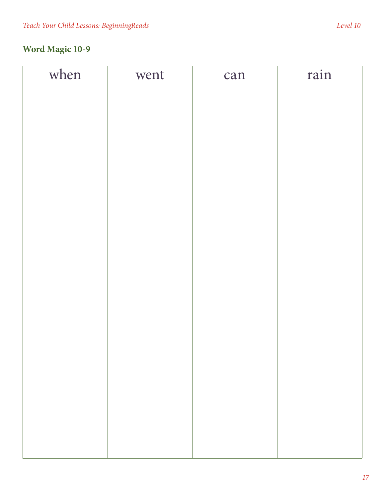| when<br>rain<br>went |  |
|----------------------|--|
|                      |  |
|                      |  |
|                      |  |
|                      |  |
|                      |  |
|                      |  |
|                      |  |
|                      |  |
|                      |  |
|                      |  |
|                      |  |
|                      |  |
|                      |  |
|                      |  |
|                      |  |
|                      |  |
|                      |  |
|                      |  |
|                      |  |
|                      |  |
|                      |  |
|                      |  |
|                      |  |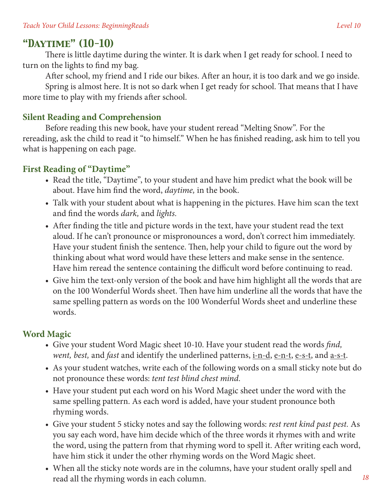# *"Daytime" (10-10)*

There is little daytime during the winter. It is dark when I get ready for school. I need to turn on the lights to find my bag.

After school, my friend and I ride our bikes. After an hour, it is too dark and we go inside.

Spring is almost here. It is not so dark when I get ready for school. That means that I have more time to play with my friends after school.

#### **Silent Reading and Comprehension**

Before reading this new book, have your student reread "Melting Snow". For the rereading, ask the child to read it "to himself." When he has finished reading, ask him to tell you what is happening on each page.

#### **First Reading of "Daytime"**

- Read the title, "Daytime", to your student and have him predict what the book will be about. Have him find the word, *daytime,* in the book.
- Talk with your student about what is happening in the pictures. Have him scan the text and find the words *dark,* and *lights.*
- After finding the title and picture words in the text, have your student read the text aloud. If he can't pronounce or mispronounces a word, don't correct him immediately. Have your student finish the sentence. Then, help your child to figure out the word by thinking about what word would have these letters and make sense in the sentence. Have him reread the sentence containing the difficult word before continuing to read.
- Give him the text-only version of the book and have him highlight all the words that are on the 100 Wonderful Words sheet. Then have him underline all the words that have the same spelling pattern as words on the 100 Wonderful Words sheet and underline these words.

### **Word Magic**

- Give your student Word Magic sheet 10-10. Have your student read the words *find*, *went, best, and fast and identify the underlined patterns, <u>i-n-d, e-n-t, e-s-t</u>, and a-s-t.*
- As your student watches, write each of the following words on a small sticky note but do not pronounce these words: *tent test blind chest mind.*
- Have your student put each word on his Word Magic sheet under the word with the same spelling pattern. As each word is added, have your student pronounce both rhyming words.
- • Give your student 5 sticky notes and say the following words: *rest rent kind past pest.* As you say each word, have him decide which of the three words it rhymes with and write the word, using the pattern from that rhyming word to spell it. After writing each word, have him stick it under the other rhyming words on the Word Magic sheet.
- When all the sticky note words are in the columns, have your student orally spell and read all the rhyming words in each column.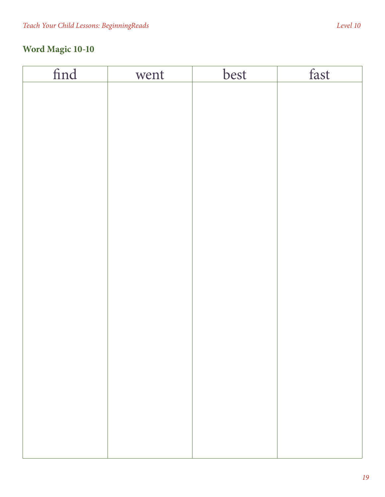| find | went | best | fast |
|------|------|------|------|
|      |      |      |      |
|      |      |      |      |
|      |      |      |      |
|      |      |      |      |
|      |      |      |      |
|      |      |      |      |
|      |      |      |      |
|      |      |      |      |
|      |      |      |      |
|      |      |      |      |
|      |      |      |      |
|      |      |      |      |
|      |      |      |      |
|      |      |      |      |
|      |      |      |      |
|      |      |      |      |
|      |      |      |      |
|      |      |      |      |
|      |      |      |      |
|      |      |      |      |
|      |      |      |      |
|      |      |      |      |
|      |      |      |      |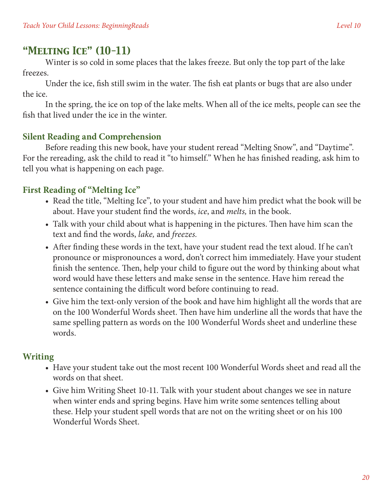# *"Melting Ice" (10-11)*

Winter is so cold in some places that the lakes freeze. But only the top part of the lake freezes.

Under the ice, fish still swim in the water. The fish eat plants or bugs that are also under the ice.

In the spring, the ice on top of the lake melts. When all of the ice melts, people can see the fish that lived under the ice in the winter.

#### **Silent Reading and Comprehension**

Before reading this new book, have your student reread "Melting Snow", and "Daytime". For the rereading, ask the child to read it "to himself." When he has finished reading, ask him to tell you what is happening on each page.

## **First Reading of "Melting Ice"**

- Read the title, "Melting Ice", to your student and have him predict what the book will be about. Have your student find the words, *ice*, and *melts,* in the book.
- Talk with your child about what is happening in the pictures. Then have him scan the text and find the words, *lake,* and *freezes.*
- After finding these words in the text, have your student read the text aloud. If he can't pronounce or mispronounces a word, don't correct him immediately. Have your student finish the sentence. Then, help your child to figure out the word by thinking about what word would have these letters and make sense in the sentence. Have him reread the sentence containing the difficult word before continuing to read.
- Give him the text-only version of the book and have him highlight all the words that are on the 100 Wonderful Words sheet. Then have him underline all the words that have the same spelling pattern as words on the 100 Wonderful Words sheet and underline these words.

### **Writing**

- Have your student take out the most recent 100 Wonderful Words sheet and read all the words on that sheet.
- Give him Writing Sheet 10-11. Talk with your student about changes we see in nature when winter ends and spring begins. Have him write some sentences telling about these. Help your student spell words that are not on the writing sheet or on his 100 Wonderful Words Sheet.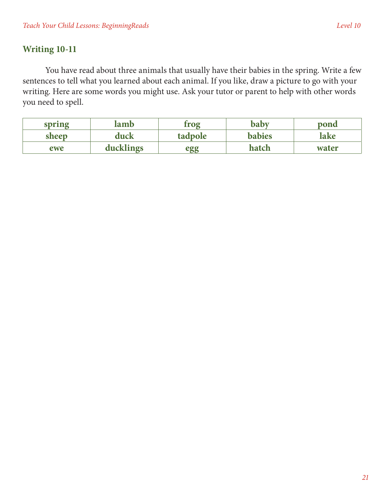### **Writing 10-11**

You have read about three animals that usually have their babies in the spring. Write a few sentences to tell what you learned about each animal. If you like, draw a picture to go with your writing. Here are some words you might use. Ask your tutor or parent to help with other words you need to spell.

| spring | lamb      | trog    | baby          | pond  |
|--------|-----------|---------|---------------|-------|
| sheep  | duck      | tadpole | <b>babies</b> | lake  |
| ewe    | ducklings | egg     | hatch         | water |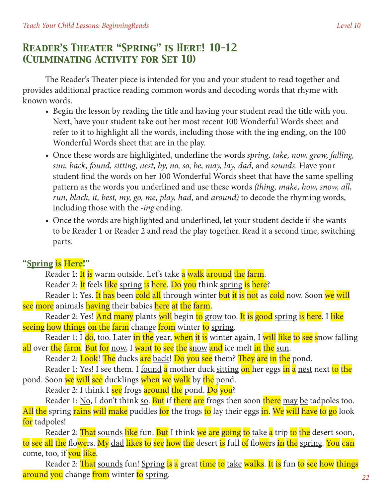# *Reader's Theater "Spring" is Here! 10-12 (Culminating Activity for Set 10)*

The Reader's Theater piece is intended for you and your student to read together and provides additional practice reading common words and decoding words that rhyme with known words.

- Begin the lesson by reading the title and having your student read the title with you. Next, have your student take out her most recent 100 Wonderful Words sheet and refer to it to highlight all the words, including those with the ing ending, on the 100 Wonderful Words sheet that are in the play.
- • Once these words are highlighted, underline the words *spring, take, now, grow, falling, sun, back, found, sitting, nest, by, no, so, be, may, lay, dad,* and *sounds*. Have your student find the words on her 100 Wonderful Words sheet that have the same spelling pattern as the words you underlined and use these words *(thing, make, how, snow, all, run, black, it, best, my, go, me, play, had,* and *around)* to decode the rhyming words, including those with the *-ing* ending.
- • Once the words are highlighted and underlined, let your student decide if she wants to be Reader 1 or Reader 2 and read the play together. Read it a second time, switching parts.

### **"Spring is Here!"**

Reader 1: It is warm outside. Let's take a walk around the farm.

Reader 2: It feels like spring is here. Do you think spring is here?

Reader 1: Yes. It has been cold all through winter but it is not as cold now. Soon we will see more animals having their babies here at the farm.

Reader 2: Yes! And many plants will begin to grow too. It is good spring is here. I like seeing how things on the farm change from winter to spring.

Reader 1: I do, too. Later in the year, when it is winter again, I will like to see snow falling all over the farm. But for now, I want to see the snow and ice melt in the sun.

Reader 2: Look! The ducks are back! Do you see them? They are in the pond.

Reader 1: Yes! I see them. I <u>found a</u> mother duck sitting on her eggs in a nest next to the pond. Soon we will see ducklings when we walk by the pond.

Reader 2: I think I see frogs around the pond. Do you?

Reader 1: No, I don't think so. But if there are frogs then soon there may be tadpoles too. All the spring rains will make puddles for the frogs to lay their eggs in. We will have to go look for tadpoles!

Reader 2: That sounds like fun. But I think we are going to take a trip to the desert soon, to see all the flowers. My dad likes to see how the desert is full of flowers in the spring. You can come, too, if you like.

Reader 2: That sounds fun! Spring is a great time to take walks. It is fun to see how things around you change from winter to spring.